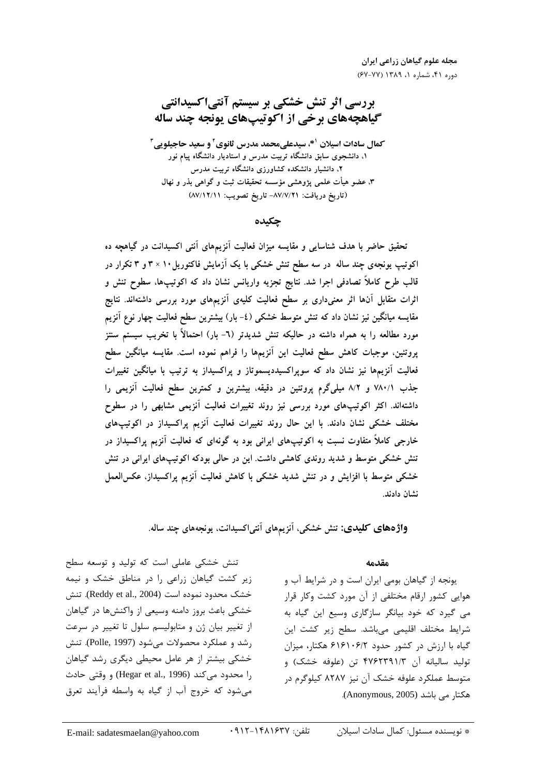بررسی اثر تنش خشکی بر سیستم آنتیاکسیدانتی گیاهچههای برخی از اکوتیپهای یونجه چند ساله

**کمال سادات اسپلان <sup>41</sup>، سیدعلی محمد مدرس ثانوی آ و سعید حاجیلویی آ** ۱، دانشجوی سابق دانشگاه تربیت مدرس و استادیار دانشگاه پیام نور ۲، دانشیار دانشکده کشاورزی دانشگاه تربیت مدرس ۳، عضو هیأت علمی پژوهشی مؤسسه تحقیقات ثبت و گواهی بذر و نهال (تاريخ دريافت: ٨٧/٧/٢١- تاريخ تصويب: ٨٧/١٢/١١)

چکىدە

تحقیق حاضر با هدف شناسایی و مقایسه میزان فعالیت اَنزیمهای اَنتی اکسیدانت در گیاهچه ده اکوتیپ یونجهی چند ساله در سه سطح تنش خشکی با یک آزمایش فاکتوریل ۱۰ × ۳ و ۳ تکرار در ۔<br>قالب طرح کاملاً تصادفی اجرا شد<sub>·</sub> نتایج تجزیه واریانس نشان داد که اکوتیپها، سطوح تنش و اثرات متقابل آنها اثر معنیداری بر سطح فعالیت کلیهی آنزیمهای مورد بررسی داشتهاند. نتایج مقایسه میانگین نیز نشان داد که تنش متوسط خشکی (٤- بار) بیشترین سطح فعالیت چهار نوع اَنزیم مورد مطالعه را به همراه داشته در حالیکه تنش شدیدتر (٦- بار) احتمالاً با تخریب سیستم سنتز پروتئین، موجبات کاهش سطح فعالیت این آنزیمها را فراهم نموده است. مقایسه میانگین سطح فعالیت آنزیمها نیز نشان داد که سوپراکسیددیسموتاز و پراکسیداز به ترتیب با میانگین تغییرات جذب ٧٨٠/١ و ٨/٢ ميليگرم پروتئين در دقيقه، بيشترين و كمترين سطح فعاليت آنزيمي را داشتهاند. اکثر اکوتیپهای مورد بررسی نیز روند تغییرات فعالیت آنزیمی مشابهی را در سطوح مختلف خشکی نشان دادند. با این حال روند تغییرات فعالیت آنزیم پراکسیداز در اکوتیپهای خارجی کاملاً متفاوت نسبت به اکوتیپهای ایرانی بود به گونهای که فعالیت آنزیم پراکسیداز در تنش خشکی متوسط و شدید روندی کاهشی داشت. این در حالی بودکه اکوتیپهای ایرانی در تنش خشکی متوسط با افزایش و در تنش شدید خشکی با کاهش فعالیت آنزیم پراکسیداز، عکسالعمل نشان دادند.

واژههای کلیدی: تنش خشکی، آنزیمهای آنتیاکسیدانت، یونجههای چند ساله.

مقدمه

یونجه از گیاهان بومی ایران است و در شرایط آب و هوایی کشور ارقام مختلفی از آن مورد کشت وکار قرار می گیرد که خود بیانگر سازگاری وسیع این گیاه به شرایط مختلف اقلیمی می باشد. سطح زیر کشت این گیاه با ارزش در کشور حدود ۶۱۶۱۰۶/۲ هکتار، میزان توليد ساليانه آن ۴۷۶۲۳۹۱/۳ تن (علوفه خشک) و متوسط عملکرد علوفه خشک آن نیز ۸۲۸۷ کیلوگرم در هكتار مي باشد (Anonymous, 2005).

تنش خشکی عاملی است که تولید و توسعه سطح

زیر کشت گیاهان زراعی را در مناطق خشک و نیمه

خشک محدود نموده است (Reddy et al., 2004). تنش

خشکی باعث بروز دامنه وسیعی از واکنشها در گیاهان

از تغییر بیان ژن و متابولیسم سلول تا تغییر در سرعت

رشد و عملكرد محصولات مي شود (Polle, 1997). تنش

خشکی بیشتر از هر عامل محیطی دیگری رشد گیاهان

را محدود میکند (Hegar et al., 1996) و وقتی حادث

می شود که خروج آب از گیاه به واسطه فرآیند تعرق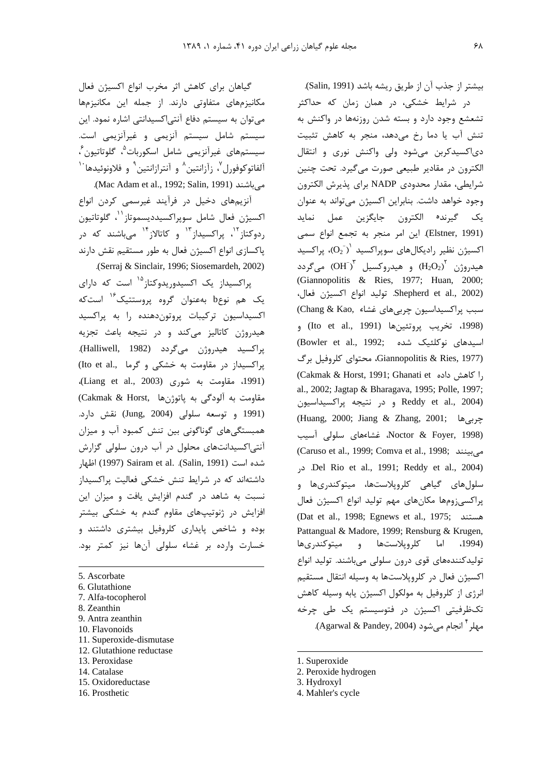گیاهان برای کاهش اثر مخرب انواع اکسیژن فعال مکانیزمهای متفاوتی دارند. از جمله این مکانیزمها می توان به سیستم دفاع آنتے اکسیدانتے اشارہ نمود. این سیستم شامل سیستم آنزیمی و غیرآنزیمی است. سیستمهای غیرآنزیمی شامل اسکوربات<sup>۹</sup>، گلوتاتیون<sup>۶</sup>، آلفاتوكوفورل<sup>۷</sup>، زآزانتين<sup>۸</sup> و آنترازانتين<sup>۹</sup> و فلاونوئيدها<sup>۱۰</sup> می باشند (Mac Adam et al., 1992; Salin, 1991).

آنزیمهای دخیل در فرآیند غیرسمی کردن انواع اكسيژن فعال شامل سويراكسيدديسموتاز<sup>\'</sup>، گلوتاتيون ردوکتاز<sup>۱۲</sup>، پراکسیداز<sup>۱۳</sup> و کاتالاز<sup>۱۴ </sup>میباشند که در یاکسازی انواع اکسیژن فعال به طور مستقیم نقش دارند (Serraj & Sinclair, 1996; Siosemardeh, 2002).

پراکسیداز یک اکسیدوریدوکتاز<sup>۱۵</sup> است که دارای یک هم نوعb بهعنوان گروه پروستتیک<sup>۱۶</sup> استکه اكسيداسيون تركيبات پروتون دهنده را به پراكسيد هیدروژن کاتالیز میکند و در نتیجه باعث تجزیه پراکسيد هيدروژن مي گردد (Halliwell, 1982). پراکسیداز در مقاومت به خشکی و گرما ,Ito et al (1991، مقاومت به شوری (Liang et al., 2003)، مقاومت به آلودگی به پاتوژنها .Cakmak & Horst) .<br>(1991 و توسعه سلولی (Jung, 2004) نقش دارد. همبستگی های گوناگونی بین تنش کمبود آب و میزان آنتی|کسیدانتهای محلول در آب درون سلولی گزارش شده است (Salin, 1991). Sairam et al. (Salin, 1991) اظهار داشتهاند که در شرایط تنش خشکی فعالیت پراکسیداز نسبت به شاهد در گندم افزایش یافت و میزان این افزایش در ژنوتیپهای مقاوم گندم به خشکی بیشتر بوده و شاخص پایداری کلروفیل بیشتری داشتند و خسارت وارده بر غشاء سلولي آنها نيز كمتر بود.

- 5. Ascorbate
- 6. Glutathione
- 7. Alfa-tocopherol
- 8. Zeanthin
- 9. Antra zeanthin
- 10. Flavonoids
- 11. Superoxide-dismutase
- 12. Glutathione reductase
- 13. Peroxidase
- 14. Catalase
- 15. Oxidoreductase
- 16. Prosthetic

بيشتر از جذب آن از طريق ريشه باشد (Salin, 1991). در شرایط خشکی، در همان زمان که حداکثر تشعشع وجود دارد و بسته شدن روزنهها در واكنش به تنش آب یا دما رخ میدهد، منجر به کاهش تثبیت دی|کسیدکربن می شود ولی واکنش نوری و انتقال الكترون در مقادير طبيعي صورت مي گيرد. تحت چنين شرايطي، مقدار محدودي NADP براي پذيرش الكترون وجود خواهد داشت. بنابراین اکسیژن می تواند به عنوان .<br>يک گيرند<sup>ه</sup> الکترون جايگزين عمل نمايد (Elstner, 1991). این امر منجر به تجمع انواع سمی اکسیژن نظیر رادیکالهای سوپراکسید  $\mathrm{(O_2^-)}^*$ ، پراکسید هيدروژن  $\mathrm{(H_2O_2)}^{\mathrm{r}}$  و هيدروكسيل  $\mathrm{(H_2O_2)}^{\mathrm{r}}$  مى $\mathrm{k}_2$ دد (Giannopolitis & Ries, 1977; Huan, 2000; Shepherd et al., 2002). توليد انواع اكسيژن فعال، سبب پراکسیداسیون چربی های غشاء ,Chang & Kao (1998، تخريب پروتئينھا (Ito et al., 1991) و اسیدهای نوکلئیک شده (Bowler et al., 1992; (Giannopolitis & Ries, 1977)، محتوای کلروفیل برگ (Cakmak & Horst, 1991; Ghanati et ماده ), al., 2002; Jagtap & Bharagava, 1995; Polle, 1997; و در نتيجه پراكسيداسيون Reddy et al., 2004) (Huang, 2000; Jiang & Zhang, 2001; پوربی ها Noctor & Foyer, 1998)، غشاءهای سلولی آسیب (Caruso et al., 1999; Comva et al., 1998; مے سنند Del Rio et al., 1991; Reddy et al., 2004). سلولهای گیاهی کلروپلاستها، میتوکندریها و يراكسي;ومها مكانهاي مهم توليد انواع اكسيژن فعال (Dat et al., 1998; Egnews et al., 1975; هستند Pattangual & Madore, 1999; Rensburg & Krugen,  $.1994)$ کلروپلاستها و میتوکندریها اما تولیدکنندەھای قوی درون سلولی میںاشند. تولید انواع اکسیژن فعال در کلروپلاستها به وسیله انتقال مستقیم انرژي از كلروفيل به مولكول اكسيژن يابه وسيله كاهش تکظرفیتی اکسیژن در فتوسیستم یک طی چرخه مهلر <sup>†</sup> انجام می شود (Agarwal & Pandey, 2004).

- 1. Superoxide
- 2. Peroxide hydrogen
- 3. Hydroxyl
- 4. Mahler's cycle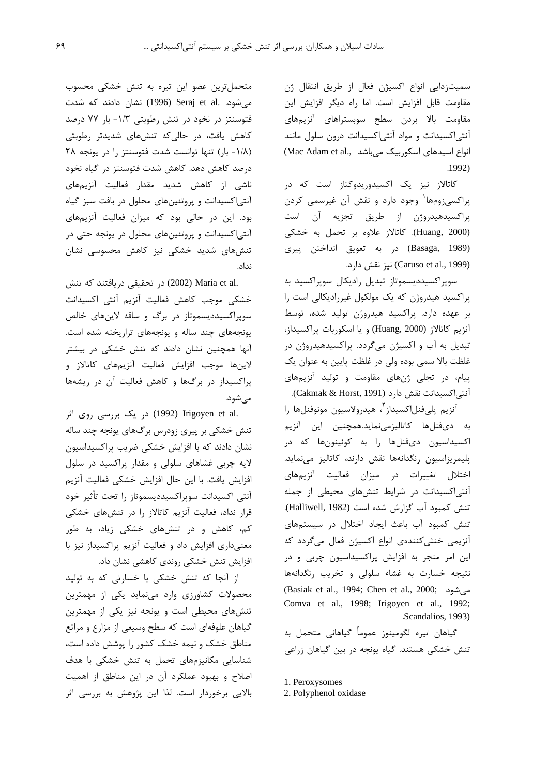سميتزدايي انواع اكسيژن فعال از طريق انتقال ژن مقاومت قابل افزایش است. اما راه دیگر افزایش این مقاومت بالا بردن سطح سوبستراهای آنزیمهای آنتیاکسیدانت و مواد آنتیاکسیدانت درون سلول مانند انواع اسیدهای اسکوربیک میباشد .Mac Adam et al  $.1992)$ 

کاتالاز نیز یک اکسیدوریدوکتاز است که در پراکسیزومها<sup>۱</sup> وجود دارد و نقش آن غیرسمی کردن يراكسيدهيدروژن از طريق تجزيه آن است (Huang, 2000). كاتالاز علاوه بر تحمل به خشكى (Basaga, 1989) در به تعويق انداختن پيري (Caruso et al., 1999) نيز نقش دارد.

سویراکسیددیسموتاز تبدیل رادیکال سویراکسید به پراکسید هیدروژن که یک مولکول غیررادیکالی است را بر عهده دارد. پراکسید هیدروژن تولید شده، توسط آنزیم کاتالاز (Huang, 2000) و یا اسکوربات پراکسیداز، تبدیل به آب و اکسیژن میگردد. پراکسیدهیدروژن در غلظت بالا سمي بوده ولي در غلظت پايين به عنوان يک پیام، در تجلی ژنهای مقاومت و تولید آنزیمهای آنتي|كسيدانت نقش دارد (Cakmak & Horst, 1991).

آنزيم يلي فنل|كسيداز<sup>٢</sup>، هيدرولاسيون مونوفنلها را به دىفنلها كاتاليزمىنمايد.همچنين اين آنزيم اکسیداسیون دیفنلها را به کوئینونها که در پلیمریزاسیون رنگدانهها نقش دارند، کاتالیز مینماید. اختلال تغییرات در میزان فعالیت آنزیمهای آنتیاکسیدانت در شرایط تنشهای محیطی از جمله تنش كمبود آب گزارش شده است (Halliwell, 1982). تنش کمبود آب باعث ایجاد اختلال در سیستمهای آنزیمی خنثی کنندهی انواع اکسیژن فعال میگردد که این امر منجر به افزایش پراکسیداسیون چربی و در نتيجه خسارت به غشاء سلولى وتخريب رنگدانهها (Basiak et al., 1994; Chen et al., 2000; مے شود Comva et al., 1998; Irigoyen et al., 1992; Scandalios, 1993).

گیاهان تیره لگومینوز عموماً گیاهانی متحمل به تنش خشکی هستند. گیاه یونجه در بین گیاهان زراعی

متحمل ترین عضو این تیره به تنش خشکی محسوب میشود. Seraj et al. (1996) نشان دادند که شدت فتوسنتز در نخود در تنش رطوبتی ۱/۳- بار ۷۷ درصد کاهش یافت، در حالی که تنشهای شدیدتر رطوبتی (١/٨- بار) تنها توانست شدت فتوسنتز را در يونجه ٢٨ درصد کاهش دهد. کاهش شدت فتوسنتز در گیاه نخود ناشی از کاهش شدید مقدار فعالیت آنزیمهای آنتیاکسیدانت و پروتئینهای محلول در بافت سبز گیاه بود. این در حالی بود که میزان فعالیت آنزیمهای آنتیاکسیدانت و پروتئینهای محلول در یونجه حتی در تنش های شدید خشکی نیز کاهش محسوسی نشان نداد.

.Maria et al (2002) در تحقيقي دريافتند كه تنش خشكى موجب كاهش فعاليت آنزيم آنتى اكسيدانت سوپراکسیددیسموتاز در برگ و ساقه لاینهای خالص یونجههای چند ساله و یونجههای تراریخته شده است. ۔<br>آنها همچنین نشان دادند که تنش خشکی در بیشتر لاينها موجب افزايش فعاليت آنزيمهاى كاتالاز و یراکسیداز در برگها و کاهش فعالیت آن در ریشهها مے شود.

.rigoyen et al (1992) در یک بررسی روی اثر تنش خشکی بر پیری زودرس برگهای پونجه چند ساله نشان دادند که با افزایش خشکی ضریب پراکسیداسیون لايه چربي غشاهای سلولی و مقدار پراکسيد در سلول افزايش يافت. با اين حال افزايش خشكي فعاليت آنزيم آنتى اكسيدانت سوپراكسيدديسموتاز را تحت تأثير خود قرار نداد، فعالیت آنزیم کاتالاز را در تنشهای خشکی کم، کاهش و در تنشهای خشکی زیاد، به طور معنیداری افزایش داد و فعالیت آنزیم پراکسیداز نیز با افزایش تنش خشکی روندی کاهشی نشان داد.

از آنجا که تنش خشکی با خسارتی که به تولید محصولات کشاورزی وارد مینماید یکی از مهمترین تنش های محیطی است و یونجه نیز یکی از مهمترین گیاهان علوفهای است که سطح وسیعی از مزارع و مراتع مناطق خشک و نیمه خشک کشور را پوشش داده است، شناسایی مکانیزمهای تحمل به تنش خشکی با هدف اصلاح و بهبود عملکرد آن در این مناطق از اهمیت بالایی برخوردار است. لذا این پژوهش به بررسی اثر

<sup>1.</sup> Peroxysomes

<sup>2.</sup> Polyphenol oxidase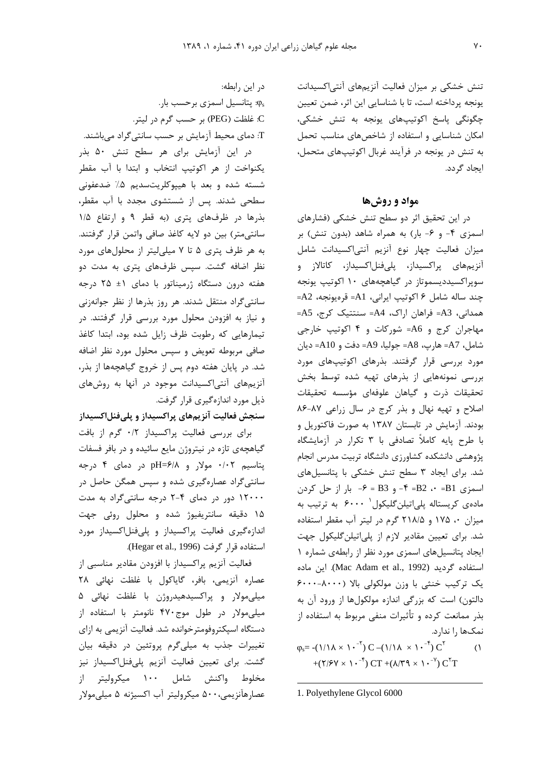تنش خشکی بر میزان فعالیت آنزیمهای آنتی اکسیدانت یونجه پرداخته است، تا با شناسایی این اثر، ضمن تعیین چگونگی پاسخ اکوتیپهای یونجه به تنش خشکی، امکان شناسایی و استفاده از شاخصهای مناسب تحمل به تنش در یونجه در فرآیند غربال اکوتیپهای متحمل، ایجاد گردد.

#### مواد و روشها

در این تحقیق اثر دو سطح تنش خشکی (فشارهای اسمزی ۴- و ۶- بار) به همراه شاهد (بدون تنش) بر میزان فعالیت چهار نوع آنزیم آنتی|کسیدانت شامل آنزیمهای پراکسیداز، پلیفنلاکسیداز، کاتالاز و سوپراکسیددیسموتاز در گیاهچههای ۱۰ اکوتیپ یونجه جند ساله شامل ۶ اکوتیپ ایرانی، A1= قرەپونجه، A2= همداني، A3= فراهان اراك، A4= سنتتيك كرج، A5= مهاجران کرج و A6= شورکات و ۴ اکوتیپ خارجی شامل، A7= هارب، A8= جوليا، A9= دفت و A10= ديان مورد بررسی قرار گرفتند. بذرهای اکوتیپهای مورد بررسی نمونههایی از بذرهای تهیه شده توسط بخش تحقيقات ذرت و گياهان علوفهاي مؤسسه تحقيقات اصلاح وتهيه نهال وبذر كرج در سال زراعى ٨٧-٨۶ بودند. آزمایش در تابستان ۱۳۸۷ به صورت فاکتوریل و با طرح پایه کاملاً تصادفی با ۳ تکرار در آزمایشگاه پژوهشی دانشکده کشاورزی دانشگاه تربیت مدرس انجام شد. برای ایجاد ۳ سطح تنش خشکی با پتانسیلهای  $\rightarrow$  - اسمزی B1= ۰۰ = B2 + = F و B3 = ۶- بار از حل کردن مادەي كريستالە يلى|تيلنگليكول ' ۶۰۰۰ بە ترتيب بە میزان ۰، ۱۷۵ و ۲۱۸/۵ گرم در لیتر آب مقطر استفاده شد. برای تعیین مقادیر لازم از پلی اتیلن گلیکول جهت ایجاد پتانسیل های اسمزی مورد نظر از رابطهی شماره ١ استفاده گردید (Mac Adam et al., 1992). این ماده یک ترکیب خنثی با وزن مولکولی بالا (۸۰۰۰-۶۰۰۰ دالتون) است که بزرگی اندازه مولکولها از ورود آن به بذر ممانعت کرده و تأثیرات منفی مربوط به استفاده از نمکها را ندارد.  $\varphi_s = -(1/\lambda \times 1 \cdot \frac{1}{\lambda}) C - (1/\lambda \times 1 \cdot \frac{1}{\lambda}) C^{\lambda}$  $\bigcap$ 

+ $(Y/SY \times Y^{-1}) C T + (\lambda/T) \times Y^{-1} C^{T} T$ 

1. Polyethylene Glycol 6000

در این رابطه: . پتانسیل اسمزی برحسب بار $\phi_{\rm s}$ .C غلظت (PEG) بر حسب گرم در ليتر. T: دمای محیط آزمایش بر حسب سانتی گراد میباشند.

در این آزمایش برای هر سطح تنش ۵۰ بذر يكنواخت از هر اكوتيپ انتخاب و ابتدا با آب مقطر شسته شده و بعد با هیپوکلریتسدیم ۵٪ ضدعفونی سطحی شدند. پس از شستشوی مجدد با آب مقطر، بذرها در ظرفهای پتری (به قطر ۹ و ارتفاع ۱/۵ سانتی متر) بین دو لایه کاغذ صافی واتمن قرار گرفتند. به هر ظرف پتری ۵ تا ۷ میلی لیتر از محلول های مورد نظر اضافه گشت. سپس ظرفهای پتری به مدت دو هفته درون دستگاه ژرمیناتور با دمای ۱± ۲۵ درجه سانتے گراد منتقل شدند. هر روز بذرها از نظر جوانهزنی و نیاز به افزودن محلول مورد بررسی قرار گرفتند. در تیمارهایی که رطوبت ظرف زایل شده بود، ابتدا کاغذ صافی مربوطه تعویض و سپس محلول مورد نظر اضافه شد. در پایان هفته دوم پس از خروج گیاهچهها از بذر، آنزیمهای آنتی اکسیدانت موجود در آنها به روشهای ذیل مورد اندازهگیری قرار گرفت.

## سنجش فعالیت آنزیمهای پراکسیداز و پلیفنلاکسیداز

برای بررسی فعالیت پراکسیداز ۰/۲ گرم از بافت گیاهچهی تازه در نیتروژن مایع سائیده و در بافر فسفات پتاسیم ۰/۰۲ مولار و pH=۶/۸ در دمای ۴ درجه سانتیگراد عصارهگیری شده و سپس همگن حاصل در ۱۲۰۰۰ دور در دمای ۴-۲ درجه سانتی گراد به مدت ۱۵ دقیقه سانتریفیوژ شده و محلول روئی جهت اندازهگیری فعالیت پراکسیداز و پلیفنل اکسیداز مورد استفاده قرار گرفت (Hegar et al., 1996).

فعالیت آنزیم پراکسیداز با افزودن مقادیر مناسبی از عصاره آنزيمي، بافر، گاياكول با غلظت نهائى ٢٨ میلی مولار و پراکسیدهیدروژن با غلظت نهائی ۵ میلی مولار در طول موج ۴۷۰ نانومتر با استفاده از دستگاه اسیکتروفومترخوانده شد. فعالیت آنزیمی به ازای تغییرات جذب به میلیگرم پروتئین در دقیقه بیان گشت. برای تعیین فعالیت آنزیم پلیفنلاکسیداز نیز مخلوط واکنش شامل ۱۰۰ میکرولیتر از عصارهآنزيمي،۵۰۰ ميكروليتر آب اكسيژنه ۵ ميلي،مولار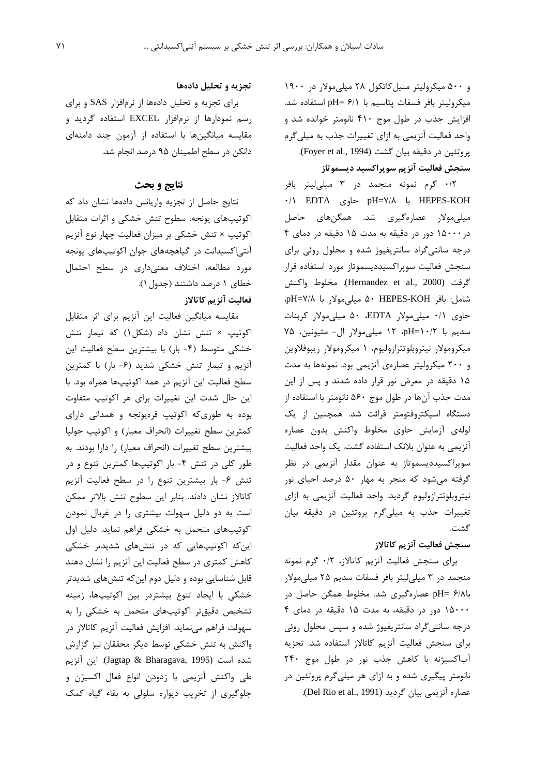و ۵۰۰ میکرولیتر متیل کاتکول ۲۸ میلی مولار در ۱۹۰۰ ميكروليتر بافر فسفات پتاسيم با pH= ۶/۱ استفاده شد. افزایش جذب در طول موج ۴۱۰ نانومتر خوانده شد و واحد فعالیت آنزیمی به ازای تغییرات جذب به میلی گرم يروتئين در دقيقه بيان گشت (Foyer et al., 1994). سنجش فعاليت آنزيم سويراكسيد ديسموتاز

۰/۲ گرم نمونه منجمد در ۳ میلی لیتر بافر ۰/۱ EDTA جاوى pH=۷/۸ با HEPES-KOH میلی،مولار عصارهگیری شد. همگنِهای حاصل در ۱۵۰۰۰ دور در دقیقه به مدت ۱۵ دقیقه در دمای ۴ درجه سانتی گراد سانتریفیوژ شده و محلول روئی برای سنجش فعاليت سويراكسيدديسموتاز مورد استفاده قرار گرفت (Hernandez et al., 2000). مخلوط واكنش شامل: بافر HEPES-KOH ۵۰ میلی مولار با pH=۷/۸ حاوی ۰/۱ میلیمولار EDTA، ۵۰ میلیمولار کربنات سديم با pH=۱۰/۲ pH=۱۰/۲ ميلي مولار ال- متيونين، ۷۵ میکرومولار نیتروبلوتترازولیوم، ۱ میکرومولار ریبوفلاوین و ۲۰۰ میکرولیتر عصارهی آنزیمی بود. نمونهها به مدت ۱۵ دقیقه در معرض نور قرار داده شدند و پس از این مدت جذب آنها در طول موج ۵۶۰ نانومتر با استفاده از دستگاه اسپکتروفتومتر قرائت شد. همچنین از یک لولهى أزمايش حاوى مخلوط واكنش بدون عصاره آنزیمی به عنوان بلانک استفاده گشت. یک واحد فعالیت سوپراکسیددیسموتاز به عنوان مقدار آنزیمی در نظر گرفته می شود که منجر به مهار ۵۰ درصد احیای نور نیتروبلوتترازولیوم گردید. واحد فعالیت آنزیمی به ازای تغییرات جذب به میلیگرم پروتئین در دقیقه بیان گشت.

# سنجش فعاليت آنزيم كاتالاز

برای سنجش فعالیت آنزیم کاتالاز، ۰/۲ گرم نمونه منجمد در ۳ میلی لیتر بافر فسفات سدیم ۲۵ میلی مولار باBH= ۶/۸ عصارهگیری شد. مخلوط همگن حاصل در ۱۵۰۰۰ دور در دقیقه، به مدت ۱۵ دقیقه در دمای ۴ درجه سانتیگراد سانتریفیوژ شده و سپس محلول روئی برای سنجش فعالیت آنزیم کاتالاز استفاده شد. تجزیه آباكسيژنه با كاهش جذب نور در طول موج ٢۴٠ نانومتر پیگیری شده و به ازای هر میلیگرم پروتئین در عصاره آنزیمی بیان گردید (Del Rio et al., 1991).

## تجزیه و تحلیل دادهها

برای تجزیه و تحلیل دادهها از نرمافزار SAS و برای رسم نمودارها از نرمافزار EXCEL استفاده گردید و مقایسه میانگینها با استفاده از آزمون چند دامنهای دانكن در سطح اطمينان ۹۵ درصد انجام شد.

### نتايج و بحث

نتايج حاصل از تجزيه واريانس دادهها نشان داد كه اکوتیپهای یونجه، سطوح تنش خشکی و اثرات متقابل اکوتیپ × تنش خشکی بر میزان فعالیت چهار نوع آنزیم آنتیاکسیدانت در گیاهچههای جوان اکوتیپهای یونجه مورد مطالعه، اختلاف معنیداری در سطح احتمال خطای ۱ درصد داشتند (جدول ۱).

## فعاليت آنزيم كاتالاز

مقایسه میانگین فعالیت این آنزیم برای اثر متقابل اکوتیپ × تنش نشان داد (شکل۱) که تیمار تنش خشکی متوسط (۴- بار) با بیشترین سطح فعالیت این آنزیم و تیمار تنش خشکی شدید (۶- بار) با کمترین سطح فعالیت این آنزیم در همه اکوتیپها همراه بود. با این حال شدت این تغییرات برای هر اکوتیپ متفاوت بوده به طوری که اکوتیپ قرهیونجه و همدانی دارای كمترين سطح تغييرات (انحراف معيار) و اكوتيپ جوليا بیشترین سطح تغییرات (انحراف معیار) را دارا بودند. به طور کلی در تنش ۴- بار اکوتیپها کمترین تنوع و در تنش ۶- بار بیشترین تنوع را در سطح فعالیت آنزیم كاتالاز نشان دادند. بنابر اين سطوح تنش بالاتر ممكن است به دو دلیل سهولت بیشتری را در غربال نمودن اکوتیپهای متحمل به خشکی فراهم نماید. دلیل اول این که اکوتیپهایی که در تنشهای شدیدتر خشکی کاهش کمتری در سطح فعالیت این آنزیم را نشان دهند قابل شناسایی بوده و دلیل دوم این که تنشهای شدیدتر خشکی با ایجاد تنوع بیشتردر بین اکوتیپها، زمینه تشخیص دقیقتر اکوتیپهای متحمل به خشکی را به سهولت فراهم می;نماید. افزایش فعالیت آنزیم کاتالاز در واکنش به تنش خشکی توسط دیگر محققان نیز گزارش شده است (Jagtap & Bharagava, 1995). این آنزیم طی واکنش آنزیمی با زدودن انواع فعال اکسیژن و جلوگیری از تخریب دیواره سلولی به بقاء گیاه کمک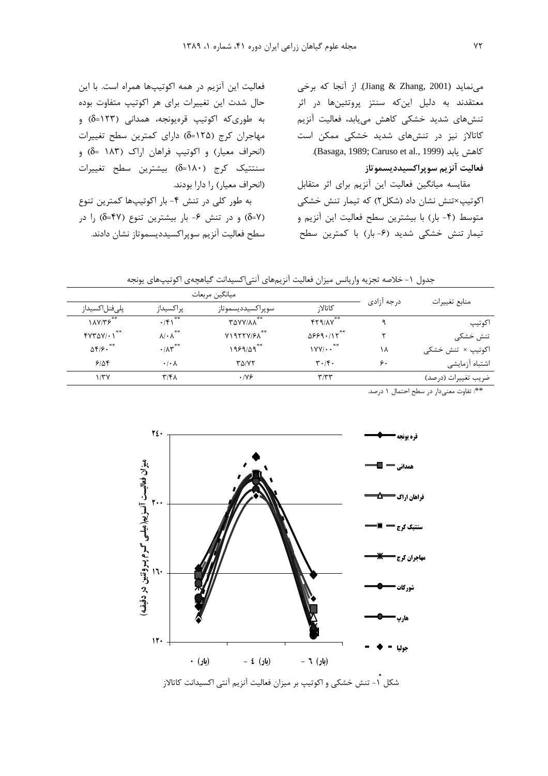می نماید (Jiang & Zhang, 2001). از آنجا که برخی معتقدند به دلیل اینکه سنتز پروتئینها در اثر تنشهای شدید خشکی کاهش میبابد، فعالیت آنزیم کاتالاز نیز در تنشهای شدید خشکی ممکن است كاهش يابد (Basaga, 1989; Caruso et al., 1999). فعاليت آنزيم سويراكسيدديسموتاز

مقایسه میانگین فعالیت این آنزیم برای اثر متقابل اکوتیپ×تنش نشان داد (شکل۲) که تیمار تنش خشکی متوسط (۴- بار) با بیشترین سطح فعالیت این آنزیم و تیمار تنش خشکی شدید (۶-بار) با کمترین سطح

فعالیت این آنزیم در همه اکوتیپها همراه است. با این حال شدت این تغییرات برای هر اکوتیپ متفاوت بوده به طوری که اکوتیپ قرهیونجه، همدانی (۱۲۳=6) و مهاجران كرج (δ=۱۲۵) داراي كمترين سطح تغييرات (انحراف معیار) و اکوتیپ فراهان اراک (۱۸۳ =6) و سنتتيک کرج (١٨٠=δ) بيشترين سطح تغييرات (انحراف معیار) را دارا بودند.

به طور کلی در تنش ۴- بار اکوتیپها کمترین تنوع (δ=Υ) و در تنش ۶- بار بیشترین تنوع (۴۷=δ) را در سطح فعاليت آنزيم سوپراكسيدديسموتاز نشان دادند.

جدول ١- خلاصه تجزيه واريانس ميزان فعاليت آنزيمهاى آنتىاكسيدانت گياهچهى اكوتيپهاى يونجه

| ميانگين مربعات               |                               |                      |                                      |            |                     |
|------------------------------|-------------------------------|----------------------|--------------------------------------|------------|---------------------|
| پلىفنل كسيداز                | پراکسیداز                     | سوپراکسیددیسموتاز    | كاتالا;                              | درجه آزادى | منابع تغييرات       |
| 1AY/75                       | $\cdot$ /۴۱ <sup>**</sup>     | **<br><b>TAVY/AA</b> | $FT9/AV***$                          | ٩          | اكوتيپ              |
| $fYY\Delta Y/\cdot Y$        | $\lambda/\cdot \lambda^{**}$  | $Y1977Y/F\Lambda$    | $0559.115***$                        |            | تنش خشکی            |
| $\Delta f/\mathfrak{S}$ . ** | $\cdot/\lambda \text{m}^{**}$ | $1959/09***$         | $\gamma$ YY/ $\cdot$ $\cdot$ $\cdot$ | ۱۸         | اکوتیپ × تنش خشکی   |
| 9108                         | $\cdot$ / $\cdot$ $\wedge$    | ۳۵/۷۲                | $\mathbf{r} \cdot \mathbf{r} \cdot$  | ۶۰         | اشتباه آزمايشى      |
| ۱/۳۷                         | ۳/۴۸                          | .199                 | $\mathbf{r}$ / $\mathbf{r}$          |            | ضريب تغييرات (درصد) |

\*\*: تفاوت معنىدار در سطح احتمال ١ درصد.

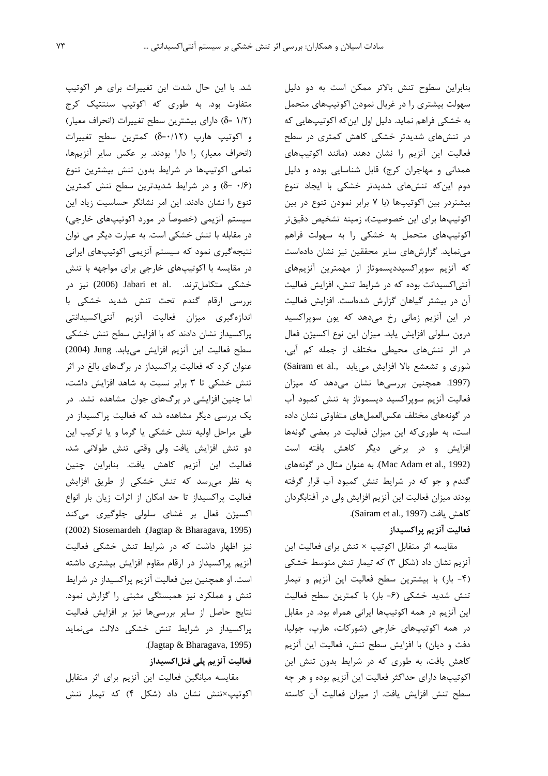شد. با این حال شدت این تغییرات برای هر اکوتیپ متفاوت بود. به طوری که اکوتیپ سنتتیک کرج (δ= ۱/۲ آه) دارای بیشترین سطح تغییرات (انحراف معیار) و اکوتیپ هارپ (δ=•/۱۲) کمترین سطح تغییرات (انحراف معیار) را دارا بودند. بر عکس سایر انزیمها، تمامی اکوتیپها در شرایط بدون تنش بیشترین تنوع (δ= ·/۶) و در شرایط شدیدترین سطح تنش کمترین تنوع را نشان دادند. این امر نشانگر حساسیت زیاد این سیستم انزیمی (خصوصا در مورد اکوتیپهای خارجی) در مقابله با تنش خشکی است. به عبارت دیگر می توان نتیجهگیری نمود که سیستم انزیمی اکوتیپهای ایرانی در مقایسه با اکوتیپهای خارجی برای مواجهه با تنش خشکی متکاملترند. .Jabari et al (2006) نیز در بررسی ارقام گندم تحت تنش شدید خشکی با ندازەگیرى میزان فعالیت انزیم انتى|كسیدانتى l پراکسیداز نشان دادند که با افزایش سطح تنش خشکی سطح فعالیت این آنزیم افزایش مییابد. Jung (2004) عنوان کرد که فعالیت پراکسیداز در برگهای بالغ در اثر تنش خشکی تا ۳ برابر نسبت به شاهد افزایش داشت، اما چنین افزایشی در برگهای جوان ًمشاهده نشد. در یک بررسی دیگر مشاهده شد که فعالیت پراکسیداز در طی مراحل اولیه تنش خشکی یا گرما و یا ترکیب این دو تنش افزایش یافت ولی وقتی تنش طولانی شد، فعالیت این انزیم کاهش یافت. بنابراین چنین به نظر م<sub>ی(</sub>سد که تنش خشکی از طریق افزایش فعالیت پراکسیداز تا حد امکان از اثرات زیان بار انواع .<br>د اکسیژن فعال بر غشای سلولی جلوگیری میکند (2002) Siosemardeh .(Jagtap & Bharagava, 1995) نیز اظهار داشت که در شرایط تنش خشکی فعالیت انزیم پراکسیداز در ارقام مقاوم افزایش بیشتری داشته است. او همچنین بین فعالیت انزیم پراکسیداز در شرایط تنش و عملکرد نیز همبستگی مثبتی را گزارش نمود. نتایج حاصل از سایر بررسیها نیز بر افزایش فعالیت پراکسیداز در شرایط تنش خشکی دلالت مینماید .(Jagtap & Bharagava, 1995) فعالیت آنزیم پلی فنلاکسیداز

مقایسه میانگین فعالیت این انزیم برای اثر متقابل اکوتیپ×تنش نشان داد (شکل ۴) که تیمار تنش

بنابراین سطوح تنش بالاتر ممکن است به دو دلیل سهولت بیشتری را در غربال نمودن اکوتیپهای متحمل به خشکی فراهم نماید. دلیل اول اینکه اکوتیپهایی که در تنشهای شدیدتر خشکی کاهش کمتری در سطح فعالیت این انزیم را نشان دهند (مانند اکوتیپهای همدانی و مهاجران کرج) قابل شناسایی بوده و دلیل دوم این *که* تنشهای شدیدتر خشکی با ایجاد تنوع بیشتردر بین اکوتیپها (با ۷ برابر نمودن تنوع در بین اکوتیپها برای این خصوصیت)، زمینه تشخیص دقیقتر اکوتیپهای متحمل به خشکی را به سهولت فراهم مینماید. گزارشهای سایر محققین نیز نشان دادهاست که انزیم سوپراکسیددیسموتاز از مهمترین انزیمهای انتی|کسیدانت بوده که در شرایط تنش، افزایش فعالیت آن در بیشتر گیاهان گزارش شدهاست. افزایش فعالیت در این انزیم زمانی رخ میدهد که یون سوپراکسید درون سلولی افزایش یابد. میزان این نوع اکسیژن فعال .<br>ن در اثر تنشهای محیطی مختلف از جمله کم آبی، شوری و تشعشع بالا افزایش مییابد .Sairam et al, (1997. همچنین بررسیها نشان میدهد که میزان فعالیت انزیم سوپراکسید دیسموتاز به تنش کمبود اب در گونههای مختلف عکسالعملهای متفاوتی نشان داده است، به طوریکه این میزان فعالیت در بعضی گونهها افزایش و در برخی دیگر کاهش یافته است (Mac Adam et al., 1992). به عنوان مثال در گونههای گندم و جو که در شرایط تنش کمبود اب قرار گرفته ودند میزان فعالیت این انزیم افزایش ولی در افتابگردان <u>ب</u> .(Sairam et al., 1997) كاهش يافت

#### فعاليت آنزيم پراكسيداز

مقایسه اثر متقابل اکوتیپ × تنش برای فعالیت این انزیم نشان داد (شکل ۳) که تیمار تنش متوسط خشکی (۴- بار) با بیشترین سطح فعالیت این انزیم و تیمار تنش شديد خشكي (۶- بار) با كمترين سطح فعاليت این انزیم در همه اکوتیپها ایرانی همراه بود. در مقابل در همه اکوتیپهای خارجی (شورکات، هارپ، جولیا، دفت و دیان) با افزایش سطح تنش، فعالیت این انزیم کاهش یافت، به طوری که در شرایط بدون تنش این اکوتیپها دارای حداکثر فعالیت این انزیم بوده و هر چه سطح تنش افزایش یافت. از میزان فعالیت آن کاسته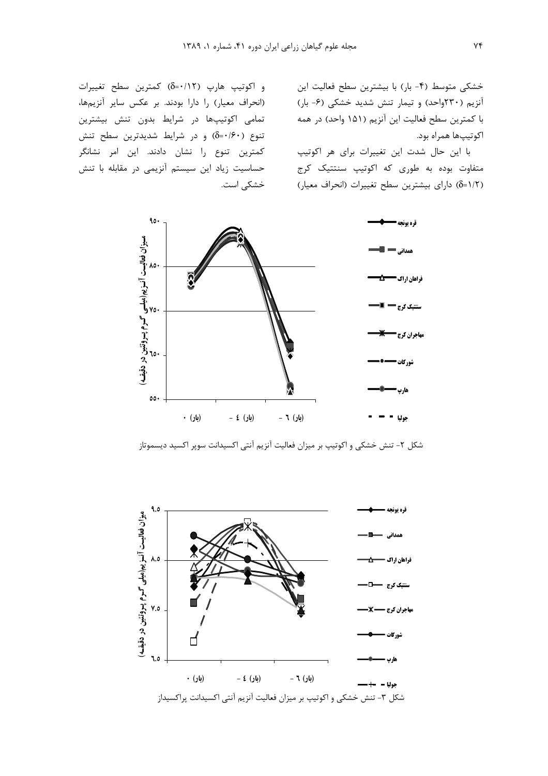خشکی متوسط (۴- بار) با بیشترین سطح فعالیت این انزیم (۲۳۰واحد) و تیمار تنش شدید خشکی (۶- بار) با کمترین سطح فعالیت این انزیم (۱۵۱ واحد) در همه اكوتيپها همراه بود.

با این حال شدت این تغییرات برای هر اکوتیپ متفاوت بوده به طوری که اکوتیپ سنتتیک کرج (δ=۱/۲) دارای بیشترین سطح تغییرات (انحراف معیار)

و اکوتیپ هارپ (δ=•/۱۲) کمترین سطح تغییرات (انحراف معیار) را دارا بودند. بر عکس سایر انزیمها، تمامی اکوتیپها در شرایط بدون تنش بیشترین تنوع (۶۰/۶۰=δ) و در شرایط شدیدترین سطح تنش کمترین تنوع را نشان دادند. این امر نشانگر حساسیت زیاد این سیستم انزیمی در مقابله با تنش خشکی است.



شکل ۲- تنش خشکی و اکوتیپ بر میزان فعالیت آنزیم آنتی اکسیدانت سوپر اکسید دیسموتاز

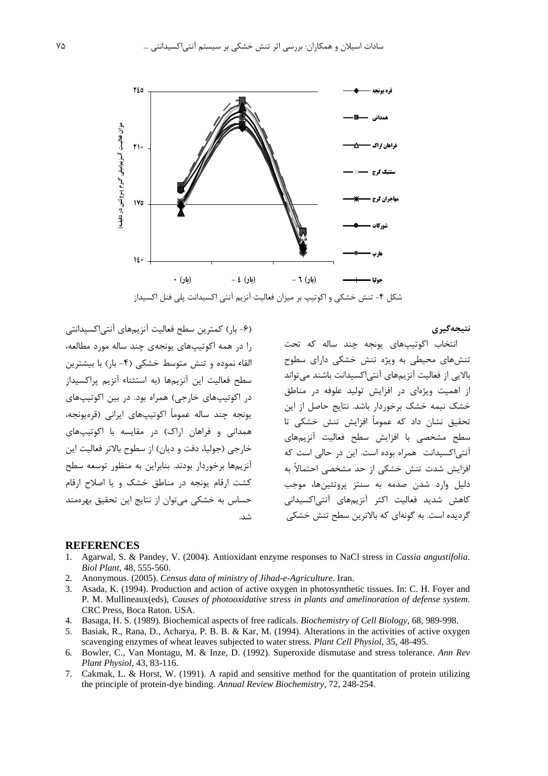

شكل ۴- تنش خشكي و اكوتيب بر ميزان فعاليت آنزيم آنتي اكسيدانت يلي فنل اكسيداز

نتيجەگيرى

(۶- بار) کمترین سطح فعالیت انزیمهای انتی|کسیدانتی را در همه اکوتیپهای یونجهی چند ساله مورد مطالعه، القاء نموده و تنش متوسط خشکی (۴- بار) با بیشترین سطح فعالیت این انزیمها (به استثناء انزیم پراکسیداز در اکوتیپهای خارجی) همراه بود. در بین اکوتیپهای یونجه چند ساله عموما اکوتیپهای ایرانی (قرەیونجه، همدانی و فراهان اراک) در مقایسه با اکوتیپهای خارجی (جولیا، دفت و دیان) از سطوح بالاتر فعالیت این انزیمها برخوردار بودند. بنابراین به منظور توسعه سطح کشت ارقام یونجه در مناطق خشک و یا اصلاح ارقام حساس به خشکی میتوان از نتایج این تحقیق بهرهمند

نتخاب اکوتیپهای یونجه چند ساله که تحت  $\overline{a}$ تنشهای محیطی به ویژه تنش خشکی دارای سطوح بالایی از فعالیت انزیمهای انتی|کسیدانت باشند میتواند از اهمیت ویژهای در افزایش تولید علوفه در مناطق خشک نیمه خشک برخوردار باشد. نتایج حاصل از این تحقیق نشان داد که عموما افزایش تنش خشکی تا سطح مشخصی با افزایش سطح فعالیت انزیمهای انتی|کسیدانت ًهمراه بوده است. این در حالی است که افزایش شدت تنش خشکی از حد مشخصی احتمالاً به دلیل وارد شدن صدمه به سنتز پروتئینها، موجب کاهش شدید فعالیت اکثر انزیمهای انتی|کسیدانی گردیده است. به گونهای که بالاترین سطح تنش خشکی

#### **REFERENCES**

1. Agarwal, S. & Pandey, V. (2004). Antioxidant enzyme responses to NaCl stress in *Cassia angustifolia*. *Biol Plant*, 48, 555-560.

شد.

- 2. Anonymous. (2005). *Census data of ministry of Jihad-e-Agriculture*. Iran.
- 3. Asada, K. (1994). Production and action of active oxygen in photosynthetic tissues. In: C. H. Foyer and P. M. Mullineaux(eds), *Causes of photooxidative stress in plants and amelinoration of defense system*. CRC Press, Boca Raton. USA.
- 4. Basaga, H. S. (1989). Biochemical aspects of free radicals. *Biochemistry of Cell Biology*, 68, 989-998.
- 5. Basiak, R., Rana, D., Acharya, P. B. B. & Kar, M. (1994). Alterations in the activities of active oxygen scavenging enzymes of wheat leaves subjected to water stress. *Plant Cell Physiol*, 35, 48-495.
- 6. Bowler, C., Van Montagu, M. & Inze, D. (1992). Superoxide dismutase and stress tolerance. *Ann Rev Plant Physiol*, 43, 83-116.
- 7. Cakmak, L. & Horst, W. (1991). A rapid and sensitive method for the quantitation of protein utilizing the principle of protein-dye binding. *Annual Review Biochemistry*, 72, 248-254.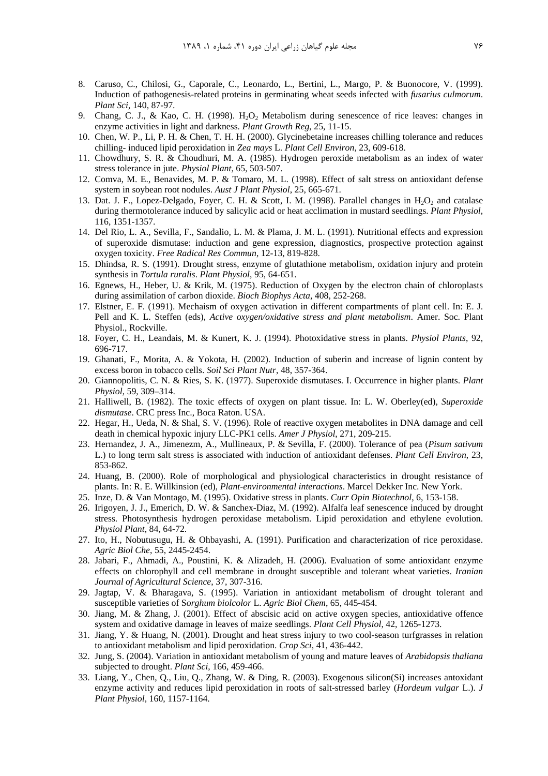- 8. Caruso, C., Chilosi, G., Caporale, C., Leonardo, L., Bertini, L., Margo, P. & Buonocore, V. (1999). Induction of pathogenesis-related proteins in germinating wheat seeds infected with *fusarius culmorum*. *Plant Sci*, 140, 87-97.
- 9. Chang, C. J., & Kao, C. H. (1998). H<sub>2</sub>O<sub>2</sub> Metabolism during senescence of rice leaves: changes in enzyme activities in light and darkness. *Plant Growth Reg*, 25, 11-15.
- 10. Chen, W. P., Li, P. H. & Chen, T. H. H. (2000). Glycinebetaine increases chilling tolerance and reduces chilling- induced lipid peroxidation in *Zea mays* L. *Plant Cell Environ*, 23, 609-618.
- 11. Chowdhury, S. R. & Choudhuri, M. A. (1985). Hydrogen peroxide metabolism as an index of water stress tolerance in jute. *Physiol Plant*, 65, 503-507.
- 12. Comva, M. E., Benavides, M. P. & Tomaro, M. L. (1998). Effect of salt stress on antioxidant defense system in soybean root nodules. *Aust J Plant Physiol*, 25, 665-671.
- 13. Dat. J. F., Lopez-Delgado, Foyer, C. H. & Scott, I. M. (1998). Parallel changes in  $H_2O_2$  and catalase during thermotolerance induced by salicylic acid or heat acclimation in mustard seedlings. *Plant Physiol*, 116, 1351-1357.
- 14. Del Rio, L. A., Sevilla, F., Sandalio, L. M. & Plama, J. M. L. (1991). Nutritional effects and expression of superoxide dismutase: induction and gene expression, diagnostics, prospective protection against oxygen toxicity. *Free Radical Res Commun*, 12-13, 819-828.
- 15. Dhindsa, R. S. (1991). Drought stress, enzyme of glutathione metabolism, oxidation injury and protein synthesis in *Tortula ruralis*. *Plant Physiol*, 95, 64-651.
- 16. Egnews, H., Heber, U. & Krik, M. (1975). Reduction of Oxygen by the electron chain of chloroplasts during assimilation of carbon dioxide. *Bioch Biophys Acta*, 408, 252-268.
- 17. Elstner, E. F. (1991). Mechaism of oxygen activation in different compartments of plant cell. In: E. J. Pell and K. L. Steffen (eds), *Active oxygen/oxidative stress and plant metabolism*. Amer. Soc. Plant Physiol., Rockville.
- 18. Foyer, C. H., Leandais, M. & Kunert, K. J. (1994). Photoxidative stress in plants. *Physiol Plants*, 92, 696-717.
- 19. Ghanati, F., Morita, A. & Yokota, H. (2002). Induction of suberin and increase of lignin content by excess boron in tobacco cells. *Soil Sci Plant Nutr*, 48, 357-364.
- 20. Giannopolitis, C. N. & Ries, S. K. (1977). Superoxide dismutases. I. Occurrence in higher plants. *Plant Physiol*, 59, 309–314.
- 21. Halliwell, B. (1982). The toxic effects of oxygen on plant tissue. In: L. W. Oberley(ed), *Superoxide dismutase*. CRC press Inc., Boca Raton. USA.
- 22. Hegar, H., Ueda, N. & Shal, S. V. (1996). Role of reactive oxygen metabolites in DNA damage and cell death in chemical hypoxic injury LLC-PK1 cells. *Amer J Physiol*, 271, 209-215.
- 23. Hernandez, J. A., Jimenezm, A., Mullineaux, P. & Sevilla, F. (2000). Tolerance of pea (*Pisum sativum* L.) to long term salt stress is associated with induction of antioxidant defenses. *Plant Cell Environ*, 23, 853-862.
- 24. Huang, B. (2000). Role of morphological and physiological characteristics in drought resistance of plants. In: R. E. Willkinsion (ed), *Plant-environmental interactions*. Marcel Dekker Inc. New York.
- 25. Inze, D. & Van Montago, M. (1995). Oxidative stress in plants. *Curr Opin Biotechnol*, 6, 153-158.
- 26. Irigoyen, J. J., Emerich, D. W. & Sanchex-Diaz, M. (1992). Alfalfa leaf senescence induced by drought stress. Photosynthesis hydrogen peroxidase metabolism. Lipid peroxidation and ethylene evolution. *Physiol Plant*, 84, 64-72.
- 27. Ito, H., Nobutusugu, H. & Ohbayashi, A. (1991). Purification and characterization of rice peroxidase. *Agric Biol Che*, 55, 2445-2454.
- 28. Jabari, F., Ahmadi, A., Poustini, K. & Alizadeh, H. (2006). Evaluation of some antioxidant enzyme effects on chlorophyll and cell membrane in drought susceptible and tolerant wheat varieties. *Iranian Journal of Agricultural Science*, 37, 307-316.
- 29. Jagtap, V. & Bharagava, S. (1995). Variation in antioxidant metabolism of drought tolerant and susceptible varieties of S*orghum biolcolor* L. *Agric Biol Chem*, 65, 445-454.
- 30. Jiang, M. & Zhang, J. (2001). Effect of abscisic acid on active oxygen species, antioxidative offence system and oxidative damage in leaves of maize seedlings. *Plant Cell Physiol*, 42, 1265-1273.
- 31. Jiang, Y. & Huang, N. (2001). Drought and heat stress injury to two cool-season turfgrasses in relation to antioxidant metabolism and lipid peroxidation. *Crop Sci*, 41, 436-442.
- 32. Jung, S. (2004). Variation in antioxidant metabolism of young and mature leaves of *Arabidopsis thaliana* subjected to drought. *Plant Sci*, 166, 459-466.
- 33. Liang, Y., Chen, Q., Liu, Q., Zhang, W. & Ding, R. (2003). Exogenous silicon(Si) increases antoxidant enzyme activity and reduces lipid peroxidation in roots of salt-stressed barley (*Hordeum vulgar* L.). *J Plant Physiol*, 160, 1157-1164.